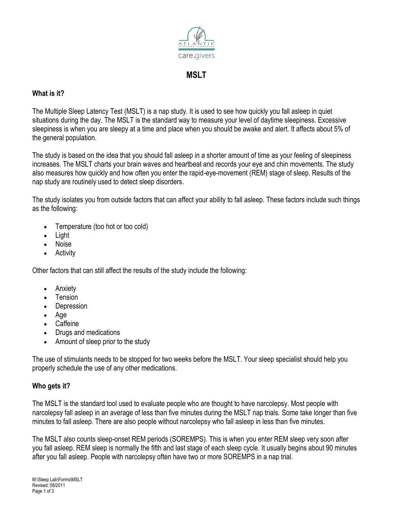

**MSLT**

# **What is it?**

The Multiple Sleep Latency Test (MSLT) is a nap study. It is used to see how quickly you fall asleep in quiet situations during the day. The MSLT is the standard way to measure your level of daytime sleepiness. Excessive sleepiness is when you are sleepy at a time and place when you should be awake and alert. It affects about 5% of the general population.

The study is based on the idea that you should fall asleep in a shorter amount of time as your feeling of sleepiness increases. The MSLT charts your brain waves and heartbeat and records your eye and chin movements. The study also measures how quickly and how often you enter the rapid-eye-movement (REM) stage of sleep. Results of the nap study are routinely used to detect sleep disorders.

The study isolates you from outside factors that can affect your ability to fall asleep. These factors include such things as the following:

- Temperature (too hot or too cold)
- Light
- Noise
- Activity

Other factors that can still affect the results of the study include the following:

- Anxiety
- Tension
- Depression
- Age
- Caffeine
- Drugs and medications
- Amount of sleep prior to the study

The use of stimulants needs to be stopped for two weeks before the MSLT. Your sleep specialist should help you properly schedule the use of any other medications.

# **Who gets it?**

The MSLT is the standard tool used to evaluate people who are thought to have narcolepsy. Most people with narcolepsy fall asleep in an average of less than five minutes during the MSLT nap trials. Some take longer than five minutes to fall asleep. There are also people without narcolepsy who fall asleep in less than five minutes.

The MSLT also counts sleep-onset REM periods (SOREMPS). This is when you enter REM sleep very soon after you fall asleep. REM sleep is normally the fifth and last stage of each sleep cycle. It usually begins about 90 minutes after you fall asleep. People with narcolepsy often have two or more SOREMPS in a nap trial.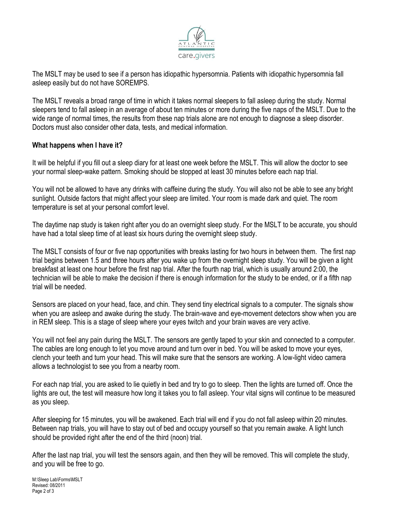

The MSLT may be used to see if a person has idiopathic hypersomnia. Patients with idiopathic hypersomnia fall asleep easily but do not have SOREMPS.

The MSLT reveals a broad range of time in which it takes normal sleepers to fall asleep during the study. Normal sleepers tend to fall asleep in an average of about ten minutes or more during the five naps of the MSLT. Due to the wide range of normal times, the results from these nap trials alone are not enough to diagnose a sleep disorder. Doctors must also consider other data, tests, and medical information.

#### **What happens when I have it?**

It will be helpful if you fill out a sleep diary for at least one week before the MSLT. This will allow the doctor to see your normal sleep-wake pattern. Smoking should be stopped at least 30 minutes before each nap trial.

You will not be allowed to have any drinks with caffeine during the study. You will also not be able to see any bright sunlight. Outside factors that might affect your sleep are limited. Your room is made dark and quiet. The room temperature is set at your personal comfort level.

The daytime nap study is taken right after you do an [overnight sleep study.](http://www.sleepeducation.com/Topic.aspx?id=12) For the MSLT to be accurate, you should have had a total sleep time of at least six hours during the overnight sleep study.

The MSLT consists of four or five nap opportunities with breaks lasting for two hours in between them. The first nap trial begins between 1.5 and three hours after you wake up from the overnight sleep study. You will be given a light breakfast at least one hour before the first nap trial. After the fourth nap trial, which is usually around 2:00, the technician will be able to make the decision if there is enough information for the study to be ended, or if a fifth nap trial will be needed.

Sensors are placed on your head, face, and chin. They send tiny electrical signals to a computer. The signals show when you are asleep and awake during the study. The brain-wave and eye-movement detectors show when you are in REM sleep. This is a stage of sleep where your eyes twitch and your brain waves are very active.

You will not feel any pain during the MSLT. The sensors are gently taped to your skin and connected to a computer. The cables are long enough to let you move around and turn over in bed. You will be asked to move your eyes, clench your teeth and turn your head. This will make sure that the sensors are working. A low-light video camera allows a technologist to see you from a nearby room.

For each nap trial, you are asked to lie quietly in bed and try to go to sleep. Then the lights are turned off. Once the lights are out, the test will measure how long it takes you to fall asleep. Your vital signs will continue to be measured as you sleep.

After sleeping for 15 minutes, you will be awakened. Each trial will end if you do not fall asleep within 20 minutes. Between nap trials, you will have to stay out of bed and occupy yourself so that you remain awake. A light lunch should be provided right after the end of the third (noon) trial.

After the last nap trial, you will test the sensors again, and then they will be removed. This will complete the study, and you will be free to go.